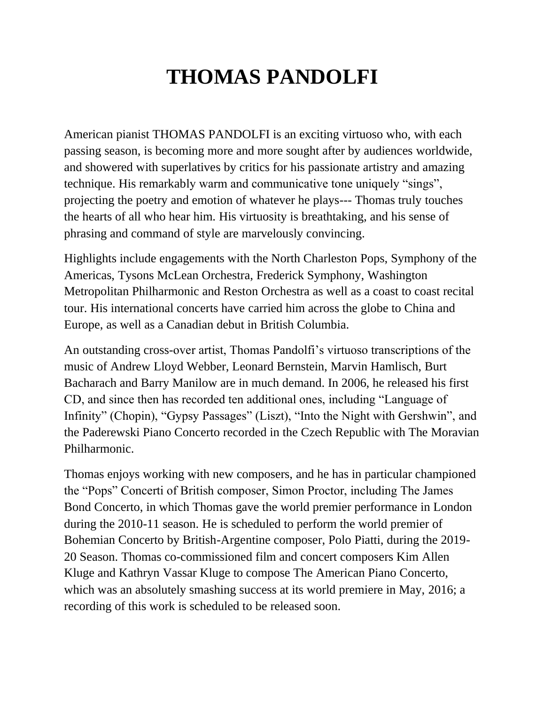## **THOMAS PANDOLFI**

American pianist THOMAS PANDOLFI is an exciting virtuoso who, with each passing season, is becoming more and more sought after by audiences worldwide, and showered with superlatives by critics for his passionate artistry and amazing technique. His remarkably warm and communicative tone uniquely "sings", projecting the poetry and emotion of whatever he plays--- Thomas truly touches the hearts of all who hear him. His virtuosity is breathtaking, and his sense of phrasing and command of style are marvelously convincing.

Highlights include engagements with the North Charleston Pops, Symphony of the Americas, Tysons McLean Orchestra, Frederick Symphony, Washington Metropolitan Philharmonic and Reston Orchestra as well as a coast to coast recital tour. His international concerts have carried him across the globe to China and Europe, as well as a Canadian debut in British Columbia.

An outstanding cross-over artist, Thomas Pandolfi's virtuoso transcriptions of the music of Andrew Lloyd Webber, Leonard Bernstein, Marvin Hamlisch, Burt Bacharach and Barry Manilow are in much demand. In 2006, he released his first CD, and since then has recorded ten additional ones, including "Language of Infinity" (Chopin), "Gypsy Passages" (Liszt), "Into the Night with Gershwin", and the Paderewski Piano Concerto recorded in the Czech Republic with The Moravian Philharmonic.

Thomas enjoys working with new composers, and he has in particular championed the "Pops" Concerti of British composer, Simon Proctor, including The James Bond Concerto, in which Thomas gave the world premier performance in London during the 2010-11 season. He is scheduled to perform the world premier of Bohemian Concerto by British-Argentine composer, Polo Piatti, during the 2019- 20 Season. Thomas co-commissioned film and concert composers Kim Allen Kluge and Kathryn Vassar Kluge to compose The American Piano Concerto, which was an absolutely smashing success at its world premiere in May, 2016; a recording of this work is scheduled to be released soon.